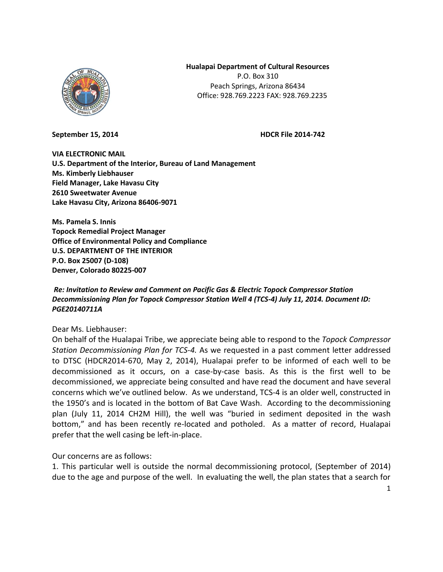

**Hualapai Department of Cultural Resources** 

P.O. Box 310 Peach Springs, Arizona 86434 Office: 928.769.2223 FAX: 928.769.2235

**September 15, 2014 HDCR File 2014-742** 

**VIA ELECTRONIC MAIL U.S. Department of the Interior, Bureau of Land Management Ms. Kimberly Liebhauser Field Manager, Lake Havasu City 2610 Sweetwater Avenue Lake Havasu City, Arizona 86406-9071**

**Ms. Pamela S. Innis Topock Remedial Project Manager Office of Environmental Policy and Compliance U.S. DEPARTMENT OF THE INTERIOR P.O. Box 25007 (D-108) Denver, Colorado 80225-007**

*Re: Invitation to Review and Comment on Pacific Gas & Electric Topock Compressor Station Decommissioning Plan for Topock Compressor Station Well 4 (TCS-4) July 11, 2014. Document ID: PGE20140711A*

Dear Ms. Liebhauser:

On behalf of the Hualapai Tribe, we appreciate being able to respond to the *Topock Compressor Station Decommissioning Plan for TCS-4.* As we requested in a past comment letter addressed to DTSC (HDCR2014-670, May 2, 2014), Hualapai prefer to be informed of each well to be decommissioned as it occurs, on a case-by-case basis. As this is the first well to be decommissioned, we appreciate being consulted and have read the document and have several concerns which we've outlined below. As we understand, TCS-4 is an older well, constructed in the 1950's and is located in the bottom of Bat Cave Wash. According to the decommissioning plan (July 11, 2014 CH2M Hill), the well was "buried in sediment deposited in the wash bottom," and has been recently re-located and potholed. As a matter of record, Hualapai prefer that the well casing be left-in-place.

Our concerns are as follows:

1. This particular well is outside the normal decommissioning protocol, (September of 2014) due to the age and purpose of the well. In evaluating the well, the plan states that a search for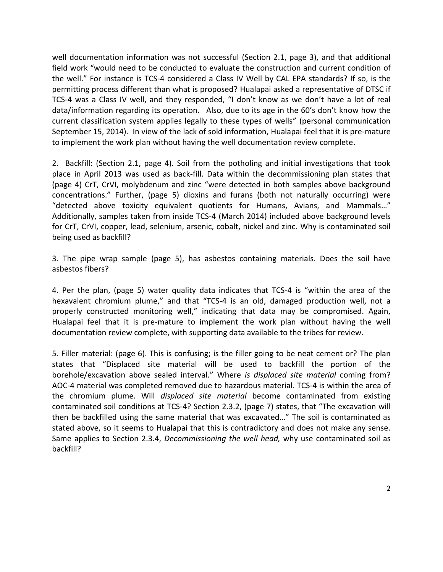well documentation information was not successful (Section 2.1, page 3), and that additional field work "would need to be conducted to evaluate the construction and current condition of the well." For instance is TCS-4 considered a Class IV Well by CAL EPA standards? If so, is the permitting process different than what is proposed? Hualapai asked a representative of DTSC if TCS-4 was a Class IV well, and they responded, "I don't know as we don't have a lot of real data/information regarding its operation. Also, due to its age in the 60's don't know how the current classification system applies legally to these types of wells" (personal communication September 15, 2014). In view of the lack of sold information, Hualapai feel that it is pre-mature to implement the work plan without having the well documentation review complete.

2. Backfill: (Section 2.1, page 4). Soil from the potholing and initial investigations that took place in April 2013 was used as back-fill. Data within the decommissioning plan states that (page 4) CrT, CrVI, molybdenum and zinc "were detected in both samples above background concentrations." Further, (page 5) dioxins and furans (both not naturally occurring) were "detected above toxicity equivalent quotients for Humans, Avians, and Mammals…" Additionally, samples taken from inside TCS-4 (March 2014) included above background levels for CrT, CrVI, copper, lead, selenium, arsenic, cobalt, nickel and zinc. Why is contaminated soil being used as backfill?

3. The pipe wrap sample (page 5), has asbestos containing materials. Does the soil have asbestos fibers?

4. Per the plan, (page 5) water quality data indicates that TCS-4 is "within the area of the hexavalent chromium plume," and that "TCS-4 is an old, damaged production well, not a properly constructed monitoring well," indicating that data may be compromised. Again, Hualapai feel that it is pre-mature to implement the work plan without having the well documentation review complete, with supporting data available to the tribes for review.

5. Filler material: (page 6). This is confusing; is the filler going to be neat cement or? The plan states that "Displaced site material will be used to backfill the portion of the borehole/excavation above sealed interval." Where *is displaced site material* coming from? AOC-4 material was completed removed due to hazardous material. TCS-4 is within the area of the chromium plume. Will *displaced site material* become contaminated from existing contaminated soil conditions at TCS-4? Section 2.3.2, (page 7) states, that "The excavation will then be backfilled using the same material that was excavated…" The soil is contaminated as stated above, so it seems to Hualapai that this is contradictory and does not make any sense. Same applies to Section 2.3.4, *Decommissioning the well head,* why use contaminated soil as backfill?